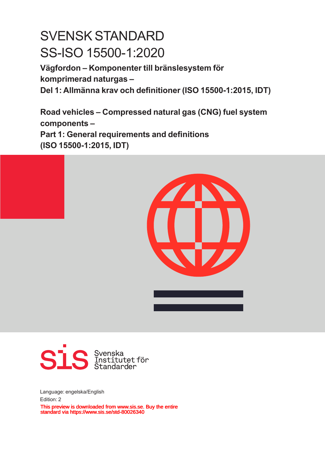# SVENSK STANDARD SS-ISO 15500-1:2020

**Vägfordon – Komponenter till bränslesystem för komprimerad naturgas – Del 1: Allmänna krav och definitioner (ISO 15500‑1:2015, IDT)**

**Road vehicles – Compressed natural gas (CNG) fuel system components – Part 1: General requirements and definitions (ISO 15500‑1:2015, IDT)**





Language: engelska/English Edition: 2 This preview is downloaded from www.sis.se. Buy the entire standard via https://www.sis.se/std-80026340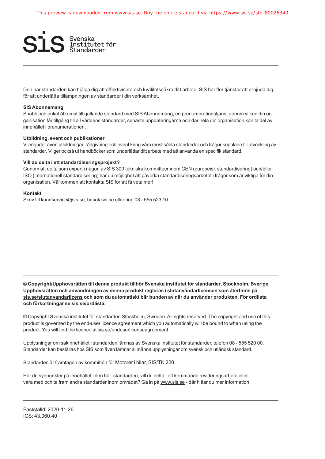

Den här standarden kan hjälpa dig att effektivisera och kvalitetssäkra ditt arbete. SIS har fler tjänster att erbjuda dig för att underlätta tillämpningen av standarder i din verksamhet.

#### **SIS Abonnemang**

Snabb och enkel åtkomst till gällande standard med SIS Abonnemang, en prenumerationstjänst genom vilken din organisation får tillgång till all världens standarder, senaste uppdateringarna och där hela din organisation kan ta del av innehållet i prenumerationen.

#### **Utbildning, event och publikationer**

Vi erbjuder även utbildningar, rådgivning och event kring våra mest sålda standarder och frågor kopplade till utveckling av standarder. Vi ger också ut handböcker som underlättar ditt arbete med att använda en specifik standard.

#### **Vill du delta i ett standardiseringsprojekt?**

Genom att delta som expert i någon av SIS 300 tekniska kommittéer inom CEN (europeisk standardisering) och/eller ISO (internationell standardisering) har du möjlighet att påverka standardiseringsarbetet i frågor som är viktiga för din organisation. Välkommen att kontakta SIS för att få veta mer!

#### **Kontakt**

Skriv till kundservice@sis.se, besök sis.se eller ring 08 - 555 523 10

**© Copyright/Upphovsrätten till denna produkt tillhör Svenska institutet för standarder, Stockholm, Sverige. Upphovsrätten och användningen av denna produkt regleras i slutanvändarlicensen som återfinns på sis.se/slutanvandarlicens och som du automatiskt blir bunden av när du använder produkten. För ordlista och förkortningar se sis.se/ordlista.**

© Copyright Svenska institutet för standarder, Stockholm, Sweden. All rights reserved. The copyright and use of this product is governed by the end-user licence agreement which you automatically will be bound to when using the product. You will find the licence at sis.se/enduserlicenseagreement.

Upplysningar om sakinnehållet i standarden lämnas av Svenska institutet för standarder, telefon 08 - 555 520 00. Standarder kan beställas hos SIS som även lämnar allmänna upplysningar om svensk och utländsk standard.

Standarden är framtagen av kommittén för Motorer i bilar, SIS/TK 220.

Har du synpunkter på innehållet i den här standarden, vill du delta i ett kommande revideringsarbete eller vara med och ta fram andra standarder inom området? Gå in på www.sis.se - där hittar du mer information.

Fastställd: 2020-11-26 ICS: 43.060.40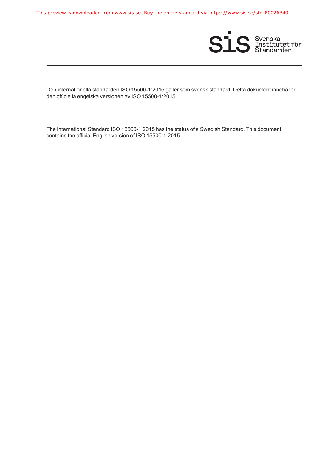This preview is downloaded from www.sis.se. Buy the entire standard via https://www.sis.se/std-80026340



Den internationella standarden ISO 15500-1:2015 gäller som svensk standard. Detta dokument innehåller den officiella engelska versionen av ISO 15500-1:2015.

The International Standard ISO 15500-1:2015 has the status of a Swedish Standard. This document contains the official English version of ISO 15500-1:2015.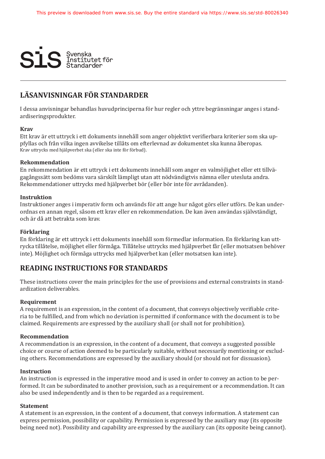

### **LÄSANVISNINGAR FÖR STANDARDER**

I dessa anvisningar behandlas huvudprinciperna för hur regler och yttre begränsningar anges i standardiseringsprodukter.

#### **Krav**

Ett krav är ett uttryck i ett dokuments innehåll som anger objektivt verifierbara kriterier som ska uppfyllas och från vilka ingen avvikelse tillåts om efterlevnad av dokumentet ska kunna åberopas. Krav uttrycks med hjälpverbet ska (eller ska inte för förbud).

#### **Rekommendation**

En rekommendation är ett uttryck i ett dokuments innehåll som anger en valmöjlighet eller ett tillvägagångssätt som bedöms vara särskilt lämpligt utan att nödvändigtvis nämna eller utesluta andra. Rekommendationer uttrycks med hjälpverbet bör (eller bör inte för avrådanden).

#### **Instruktion**

Instruktioner anges i imperativ form och används för att ange hur något görs eller utförs. De kan underordnas en annan regel, såsom ett krav eller en rekommendation. De kan även användas självständigt, och är då att betrakta som krav.

#### **Förklaring**

En förklaring är ett uttryck i ett dokuments innehåll som förmedlar information. En förklaring kan uttrycka tillåtelse, möjlighet eller förmåga. Tillåtelse uttrycks med hjälpverbet får (eller motsatsen behöver inte). Möjlighet och förmåga uttrycks med hjälpverbet kan (eller motsatsen kan inte).

#### **READING INSTRUCTIONS FOR STANDARDS**

These instructions cover the main principles for the use of provisions and external constraints in standardization deliverables.

#### **Requirement**

A requirement is an expression, in the content of a document, that conveys objectively verifiable criteria to be fulfilled, and from which no deviation is permitted if conformance with the document is to be claimed. Requirements are expressed by the auxiliary shall (or shall not for prohibition).

#### **Recommendation**

A recommendation is an expression, in the content of a document, that conveys a suggested possible choice or course of action deemed to be particularly suitable, without necessarily mentioning or excluding others. Recommendations are expressed by the auxiliary should (or should not for dissuasion).

#### **Instruction**

An instruction is expressed in the imperative mood and is used in order to convey an action to be performed. It can be subordinated to another provision, such as a requirement or a recommendation. It can also be used independently and is then to be regarded as a requirement.

#### **Statement**

A statement is an expression, in the content of a document, that conveys information. A statement can express permission, possibility or capability. Permission is expressed by the auxiliary may (its opposite being need not). Possibility and capability are expressed by the auxiliary can (its opposite being cannot).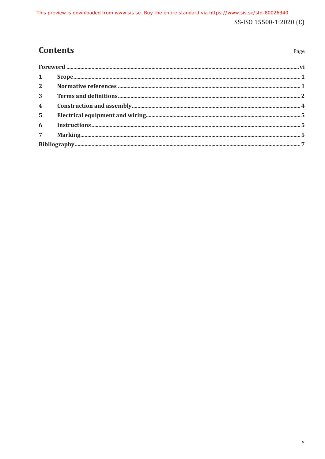# **Contents**

| $1 \quad \blacksquare$ |  |
|------------------------|--|
|                        |  |
| 3 <sup>1</sup>         |  |
| $\overline{4}$         |  |
| 5 <sup>1</sup>         |  |
|                        |  |
|                        |  |
|                        |  |

Page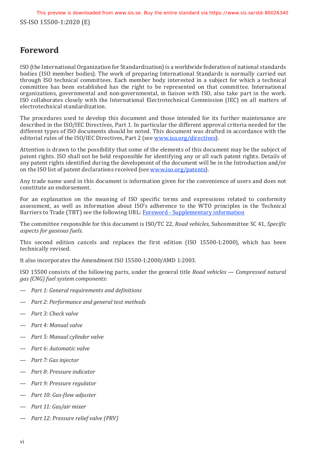## <span id="page-5-0"></span>**Foreword**

ISO (the International Organization for Standardization) is a worldwide federation of national standards bodies (ISO member bodies). The work of preparing International Standards is normally carried out through ISO technical committees. Each member body interested in a subject for which a technical committee has been established has the right to be represented on that committee. International organizations, governmental and non-governmental, in liaison with ISO, also take part in the work. ISO collaborates closely with the International Electrotechnical Commission (IEC) on all matters of electrotechnical standardization.

The procedures used to develop this document and those intended for its further maintenance are described in the ISO/IEC Directives, Part 1. In particular the different approval criteria needed for the different types of ISO documents should be noted. This document was drafted in accordance with the editorial rules of the ISO/IEC Directives, Part 2 (see www[.iso.org/directives\)](http://www.iso.org/directives).

Attention is drawn to the possibility that some of the elements of this document may be the subject of patent rights. ISO shall not be held responsible for identifying any or all such patent rights. Details of any patent rights identified during the development of the document will be in the Introduction and/or on the ISO list of patent declarations received (see www[.iso.org/patents](http://www.iso.org/patents)).

Any trade name used in this document is information given for the convenience of users and does not constitute an endorsement.

For an explanation on the meaning of ISO specific terms and expressions related to conformity assessment, as well as information about ISO's adherence to the WTO principles in the Technical Barriers to Trade (TBT) see the following URL: [Foreword - Supplementary](http://www.iso.org/iso/home/standards_development/resources-for-technical-work/foreword.htm) information

The committee responsible for this document is ISO/TC 22, *Road vehicles*, Subcommittee SC 41, *Specific aspects for gaseous fuels*.

This second edition cancels and replaces the first edition (ISO 15500-1:2000), which has been technically revised.

It also incorporates the Amendment ISO 15500-1:2000/AMD 1:2003.

ISO 15500 consists of the following parts, under the general title *Road vehicles — Compressed natural gas (CNG) fuel system components*:

- *Part 1: General requirements and definitions*
- *Part 2: Performance and general test methods*
- *Part 3: Check valve*
- *Part 4: Manual valve*
- *Part 5: Manual cylinder valve*
- *Part 6: Automatic valve*
- *Part 7: Gas injector*
- *Part 8: Pressure indicator*
- *Part 9: Pressure regulator*
- *Part 10: Gas-flow adjuster*
- *Part 11: Gas/air mixer*
- *Part 12: Pressure relief valve (PRV)*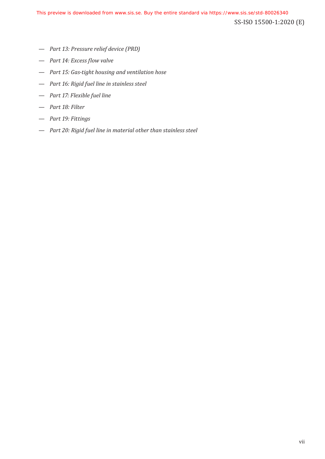- *Part 13: Pressure relief device (PRD)*
- *Part 14: Excess flow valve*
- *Part 15: Gas-tight housing and ventilation hose*
- *Part 16: Rigid fuel line in stainless steel*
- *Part 17: Flexible fuel line*
- *Part 18: Filter*
- *Part 19: Fittings*
- *Part 20: Rigid fuel line in material other than stainless steel*